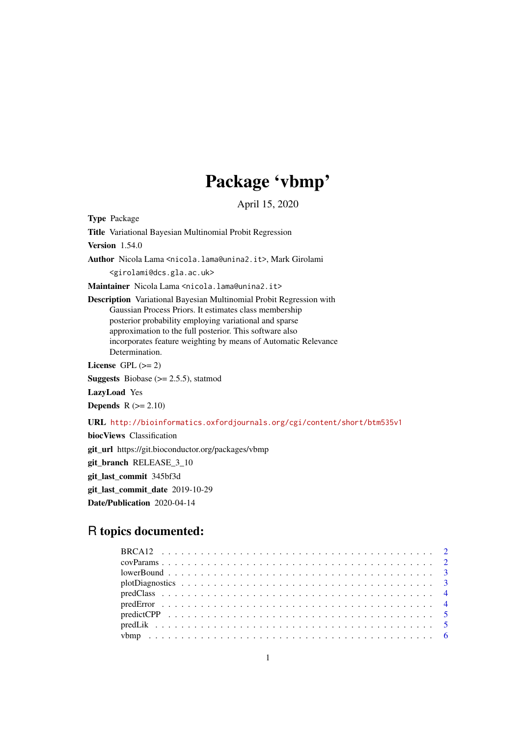# Package 'vbmp'

April 15, 2020

Type Package

Title Variational Bayesian Multinomial Probit Regression

Version 1.54.0

Author Nicola Lama <nicola.lama@unina2.it>, Mark Girolami

<girolami@dcs.gla.ac.uk>

Maintainer Nicola Lama <nicola.lama@unina2.it>

Description Variational Bayesian Multinomial Probit Regression with Gaussian Process Priors. It estimates class membership posterior probability employing variational and sparse approximation to the full posterior. This software also incorporates feature weighting by means of Automatic Relevance Determination.

License GPL  $(>= 2)$ 

**Suggests** Biobase  $(>= 2.5.5)$ , statmod

LazyLoad Yes

**Depends**  $R$  ( $>= 2.10$ )

URL <http://bioinformatics.oxfordjournals.org/cgi/content/short/btm535v1>

biocViews Classification git\_url https://git.bioconductor.org/packages/vbmp git\_branch RELEASE\_3\_10 git\_last\_commit 345bf3d git\_last\_commit\_date 2019-10-29 Date/Publication 2020-04-14

# R topics documented:

| $lowerBound \dots \dots \dots \dots \dots \dots \dots \dots \dots \dots \dots \dots \dots \dots \dots \dots \dots \dots$ |  |
|--------------------------------------------------------------------------------------------------------------------------|--|
|                                                                                                                          |  |
|                                                                                                                          |  |
|                                                                                                                          |  |
|                                                                                                                          |  |
|                                                                                                                          |  |
|                                                                                                                          |  |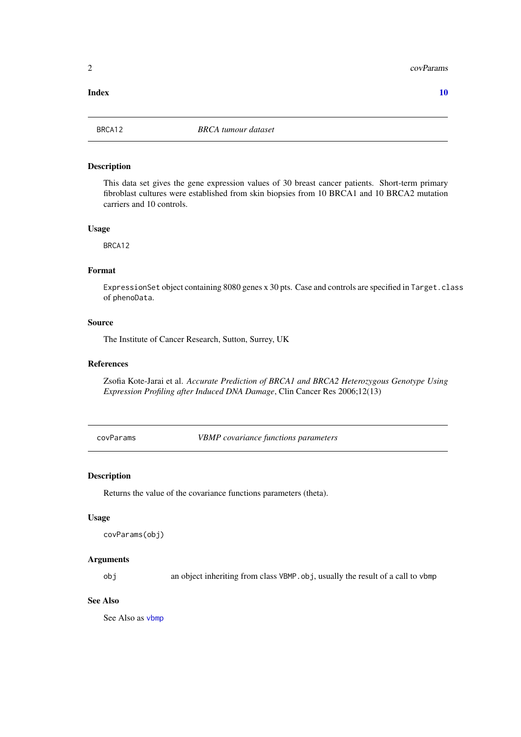#### <span id="page-1-0"></span> $\blacksquare$

### Description

This data set gives the gene expression values of 30 breast cancer patients. Short-term primary fibroblast cultures were established from skin biopsies from 10 BRCA1 and 10 BRCA2 mutation carriers and 10 controls.

#### Usage

BRCA12

#### Format

ExpressionSet object containing 8080 genes x 30 pts. Case and controls are specified in Target.class of phenoData.

# Source

The Institute of Cancer Research, Sutton, Surrey, UK

#### References

Zsofia Kote-Jarai et al. *Accurate Prediction of BRCA1 and BRCA2 Heterozygous Genotype Using Expression Profiling after Induced DNA Damage*, Clin Cancer Res 2006;12(13)

<span id="page-1-1"></span>covParams *VBMP covariance functions parameters*

### Description

Returns the value of the covariance functions parameters (theta).

#### Usage

```
covParams(obj)
```
# Arguments

obj an object inheriting from class VBMP.obj, usually the result of a call to vbmp

# See Also

See Also as [vbmp](#page-5-1)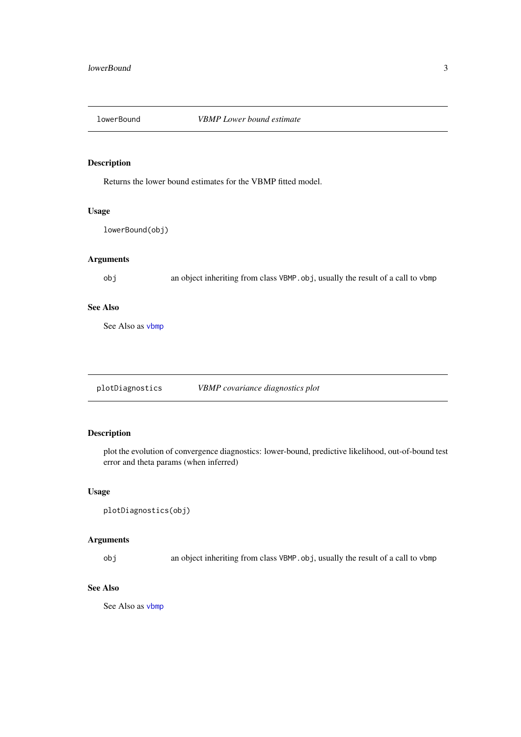<span id="page-2-1"></span><span id="page-2-0"></span>

Returns the lower bound estimates for the VBMP fitted model.

# Usage

lowerBound(obj)

# Arguments

obj an object inheriting from class VBMP.obj, usually the result of a call to vbmp

### See Also

See Also as [vbmp](#page-5-1)

plotDiagnostics *VBMP covariance diagnostics plot*

# Description

plot the evolution of convergence diagnostics: lower-bound, predictive likelihood, out-of-bound test error and theta params (when inferred)

#### Usage

```
plotDiagnostics(obj)
```
# Arguments

obj an object inheriting from class VBMP.obj, usually the result of a call to vbmp

# See Also

See Also as [vbmp](#page-5-1)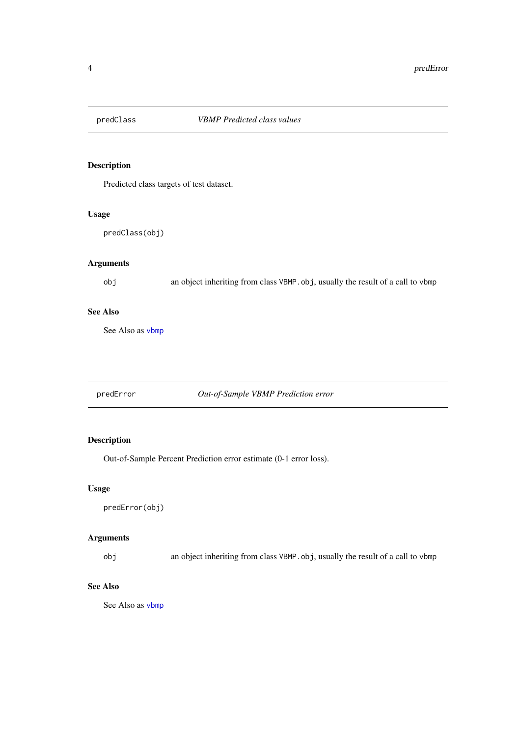<span id="page-3-2"></span><span id="page-3-0"></span>

Predicted class targets of test dataset.

# Usage

predClass(obj)

# Arguments

obj an object inheriting from class VBMP.obj, usually the result of a call to vbmp

# See Also

See Also as [vbmp](#page-5-1)

<span id="page-3-1"></span>predError *Out-of-Sample VBMP Prediction error*

# Description

Out-of-Sample Percent Prediction error estimate (0-1 error loss).

#### Usage

predError(obj)

# Arguments

obj an object inheriting from class VBMP.obj, usually the result of a call to vbmp

# See Also

See Also as [vbmp](#page-5-1)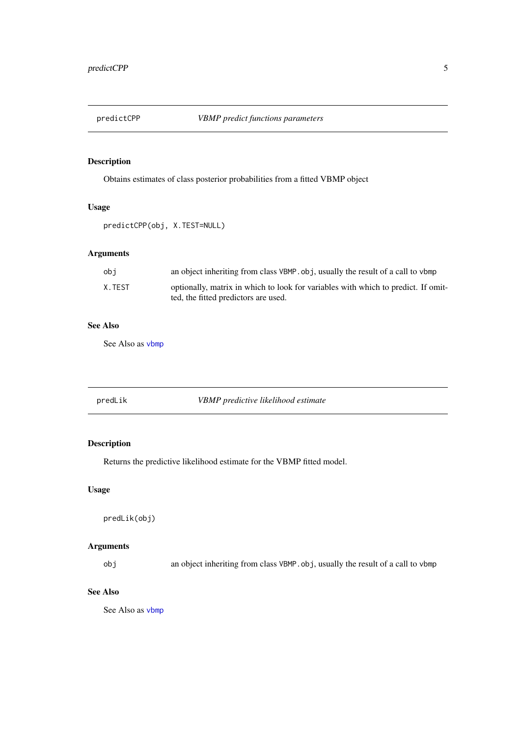<span id="page-4-1"></span><span id="page-4-0"></span>

Obtains estimates of class posterior probabilities from a fitted VBMP object

# Usage

```
predictCPP(obj, X.TEST=NULL)
```
# Arguments

| obi    | an object inheriting from class VBMP. obj, usually the result of a call to vbmp   |
|--------|-----------------------------------------------------------------------------------|
| X.TEST | optionally, matrix in which to look for variables with which to predict. If omit- |
|        | ted, the fitted predictors are used.                                              |

# See Also

See Also as [vbmp](#page-5-1)

<span id="page-4-2"></span>

| predLik | VBMP predictive likelihood estimate |
|---------|-------------------------------------|
|---------|-------------------------------------|

# Description

Returns the predictive likelihood estimate for the VBMP fitted model.

# Usage

predLik(obj)

# Arguments

obj an object inheriting from class VBMP.obj, usually the result of a call to vbmp

# See Also

See Also as [vbmp](#page-5-1)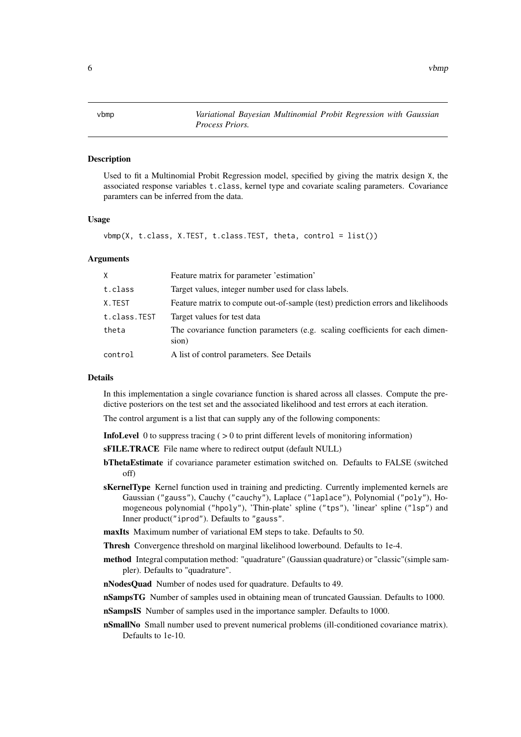<span id="page-5-1"></span><span id="page-5-0"></span>

Used to fit a Multinomial Probit Regression model, specified by giving the matrix design X, the associated response variables t.class, kernel type and covariate scaling parameters. Covariance paramters can be inferred from the data.

### Usage

 $vbm(X, t.class, X.TEST, t.class.TEST, theta, control = list())$ 

#### Arguments

| X            | Feature matrix for parameter 'estimation'                                              |
|--------------|----------------------------------------------------------------------------------------|
| t.class      | Target values, integer number used for class labels.                                   |
| X.TEST       | Feature matrix to compute out-of-sample (test) prediction errors and likelihoods       |
| t.class.TEST | Target values for test data                                                            |
| theta        | The covariance function parameters (e.g. scaling coefficients for each dimen-<br>sion) |
| control      | A list of control parameters. See Details                                              |

#### Details

In this implementation a single covariance function is shared across all classes. Compute the predictive posteriors on the test set and the associated likelihood and test errors at each iteration.

The control argument is a list that can supply any of the following components:

**InfoLevel** 0 to suppress tracing  $($  > 0 to print different levels of monitoring information)

sFILE.TRACE File name where to redirect output (default NULL)

- bThetaEstimate if covariance parameter estimation switched on. Defaults to FALSE (switched off)
- sKernelType Kernel function used in training and predicting. Currently implemented kernels are Gaussian ("gauss"), Cauchy ("cauchy"), Laplace ("laplace"), Polynomial ("poly"), Homogeneous polynomial ("hpoly"), 'Thin-plate' spline ("tps"), 'linear' spline ("lsp") and Inner product("iprod"). Defaults to "gauss".
- maxIts Maximum number of variational EM steps to take. Defaults to 50.
- Thresh Convergence threshold on marginal likelihood lowerbound. Defaults to 1e-4.
- method Integral computation method: "quadrature" (Gaussian quadrature) or "classic"(simple sampler). Defaults to "quadrature".
- nNodesQuad Number of nodes used for quadrature. Defaults to 49.
- nSampsTG Number of samples used in obtaining mean of truncated Gaussian. Defaults to 1000.

nSampsIS Number of samples used in the importance sampler. Defaults to 1000.

nSmallNo Small number used to prevent numerical problems (ill-conditioned covariance matrix). Defaults to 1e-10.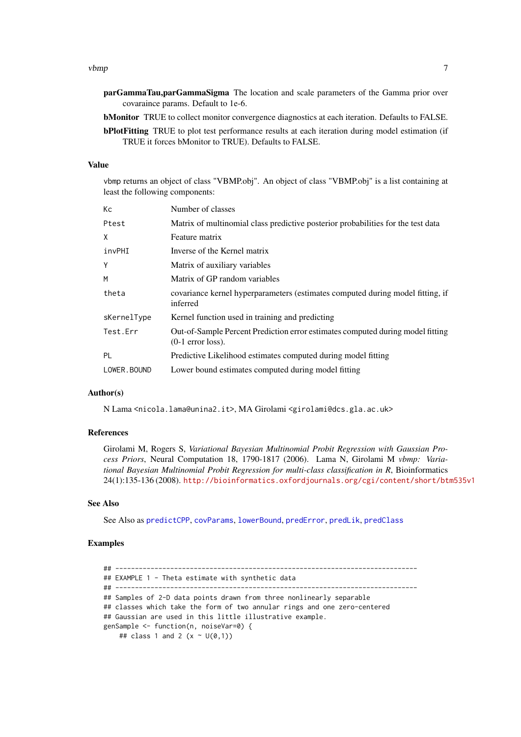- <span id="page-6-0"></span>parGammaTau,parGammaSigma The location and scale parameters of the Gamma prior over covaraince params. Default to 1e-6.
- bMonitor TRUE to collect monitor convergence diagnostics at each iteration. Defaults to FALSE.
- bPlotFitting TRUE to plot test performance results at each iteration during model estimation (if TRUE it forces bMonitor to TRUE). Defaults to FALSE.

# Value

vbmp returns an object of class "VBMP.obj". An object of class "VBMP.obj" is a list containing at least the following components:

| Кc          | Number of classes                                                                                     |
|-------------|-------------------------------------------------------------------------------------------------------|
| Ptest       | Matrix of multinomial class predictive posterior probabilities for the test data                      |
| X           | Feature matrix                                                                                        |
| invPHI      | Inverse of the Kernel matrix                                                                          |
| Y           | Matrix of auxiliary variables                                                                         |
| M           | Matrix of GP random variables                                                                         |
| theta       | covariance kernel hyperparameters (estimates computed during model fitting, if<br>inferred            |
| sKernelType | Kernel function used in training and predicting                                                       |
| Test.Err    | Out-of-Sample Percent Prediction error estimates computed during model fitting<br>$(0-1$ error loss). |
| PL          | Predictive Likelihood estimates computed during model fitting                                         |
| LOWER.BOUND | Lower bound estimates computed during model fitting                                                   |

#### Author(s)

N Lama <nicola.lama@unina2.it>, MA Girolami <girolami@dcs.gla.ac.uk>

#### References

Girolami M, Rogers S, *Variational Bayesian Multinomial Probit Regression with Gaussian Process Priors*, Neural Computation 18, 1790-1817 (2006). Lama N, Girolami M *vbmp: Variational Bayesian Multinomial Probit Regression for multi-class classification in R*, Bioinformatics 24(1):135-136 (2008). <http://bioinformatics.oxfordjournals.org/cgi/content/short/btm535v1>

# See Also

See Also as [predictCPP](#page-4-1), [covParams](#page-1-1), [lowerBound](#page-2-1), [predError](#page-3-1), [predLik](#page-4-2), [predClass](#page-3-2)

# Examples

## ----------------------------------------------------------------------------- ## EXAMPLE 1 - Theta estimate with synthetic data ## ----------------------------------------------------------------------------- ## Samples of 2-D data points drawn from three nonlinearly separable ## classes which take the form of two annular rings and one zero-centered ## Gaussian are used in this little illustrative example. genSample <- function(n, noiseVar=0) { ## class 1 and 2  $(x \sim U(0,1))$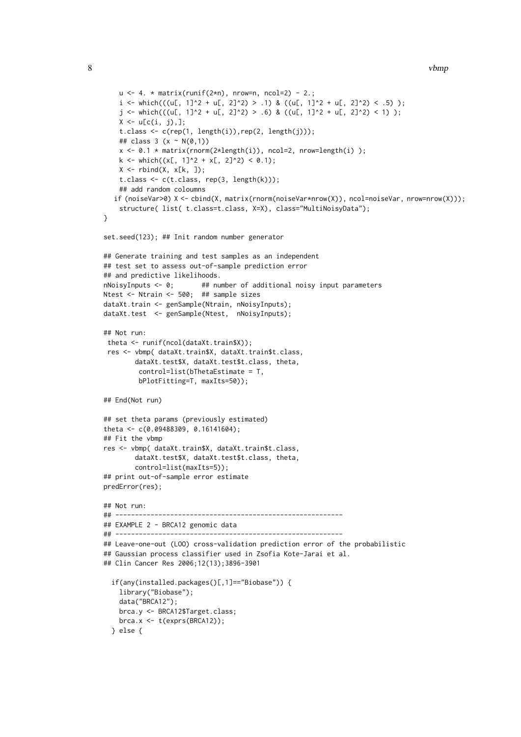```
u \leq -4. * matrix(runif(2*n), nrow=n, ncol=2) - 2.;
    i <- which(((u[, 1]^2 + u[, 2]^2) > .1) & ((u[, 1]^2 + u[, 2]^2) < .5) );
    j \leftarrow \text{which}(((u[, 1]^2 + u[, 2]^2) > .6) \& ((u[, 1]^2 + u[, 2]^2) < 1) );
    X \leftarrow u[c(i, j),];
    t.class \leq c(rep(1, length(i)),rep(2, length(j)));
    ## class 3 (x ~ N(0,1))
    x \le 0.1 * matrix(rnorm(2*length(i)), ncol=2, nrow=length(i));
    k \le - which((x[, 1]^2 + x[, 2]^2) < 0.1);
    X \leftarrow \text{rbind}(X, x[k, ]);t.class \leq c(t.class, rep(3, length(k)));
    ## add random coloumns
   if (noiseVar>0) X <- cbind(X, matrix(rnorm(noiseVar*nrow(X)), ncol=noiseVar, nrow=nrow(X)));
    structure( list( t.class=t.class, X=X), class="MultiNoisyData");
}
set.seed(123); ## Init random number generator
## Generate training and test samples as an independent
## test set to assess out-of-sample prediction error
## and predictive likelihoods.
nNoisyInputs \leq 0; ## number of additional noisy input parameters
Ntest <- Ntrain <- 500; ## sample sizes
dataXt.train <- genSample(Ntrain, nNoisyInputs);
dataXt.test <- genSample(Ntest, nNoisyInputs);
## Not run:
theta <- runif(ncol(dataXt.train$X));
 res <- vbmp( dataXt.train$X, dataXt.train$t.class,
        dataXt.test$X, dataXt.test$t.class, theta,
         control=list(bThetaEstimate = T,
         bPlotFitting=T, maxIts=50));
## End(Not run)
## set theta params (previously estimated)
theta <- c(0.09488309, 0.16141604);
## Fit the vbmp
res <- vbmp( dataXt.train$X, dataXt.train$t.class,
        dataXt.test$X, dataXt.test$t.class, theta,
        control=list(maxIts=5));
## print out-of-sample error estimate
predError(res);
## Not run:
## ----------------------------------------------------------
## EXAMPLE 2 - BRCA12 genomic data
## ----------------------------------------------------------
## Leave-one-out (LOO) cross-validation prediction error of the probabilistic
## Gaussian process classifier used in Zsofia Kote-Jarai et al.
## Clin Cancer Res 2006;12(13);3896-3901
  if(any(installed.packages()[,1]=="Biobase")) {
    library("Biobase");
    data("BRCA12");
    brca.y <- BRCA12$Target.class;
    brca.x \leftarrow t(exprs(BRCA12));} else {
```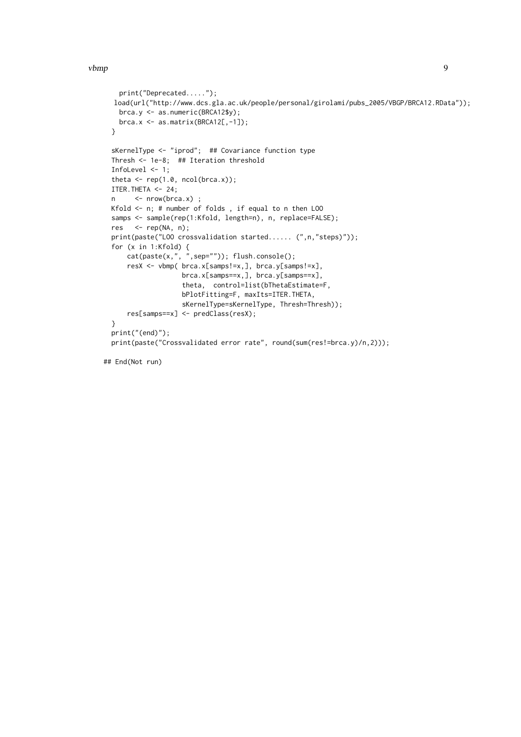```
print("Deprecated.....");
load(url("http://www.dcs.gla.ac.uk/people/personal/girolami/pubs_2005/VBGP/BRCA12.RData"));
 brca.y <- as.numeric(BRCA12$y);
  brca.x \leq as.matrix(BRCA12[,-1]);
}
sKernelType <- "iprod"; ## Covariance function type
Thresh <- 1e-8; ## Iteration threshold
InfoLevel <- 1;
theta \leq rep(1.0, ncol(brca.x));
ITER.THETA <- 24;
n <- nrow(brca.x) ;
Kfold <- n; # number of folds , if equal to n then LOO
samps <- sample(rep(1:Kfold, length=n), n, replace=FALSE);
res \leq rep(NA, n);
print(paste("LOO crossvalidation started...... (",n,"steps)"));
for (x in 1:Kfold) {
    cat(paste(x, ", ", sep='")); flush.console();resX <- vbmp( brca.x[samps!=x,], brca.y[samps!=x],
                  brca.x[samps==x,], brca.y[samps==x],
                  theta, control=list(bThetaEstimate=F,
                  bPlotFitting=F, maxIts=ITER.THETA,
                  sKernelType=sKernelType, Thresh=Thresh));
    res[samps==x] <- predClass(resX);
}
print("(end)");
print(paste("Crossvalidated error rate", round(sum(res!=brca.y)/n,2)));
```

```
## End(Not run)
```